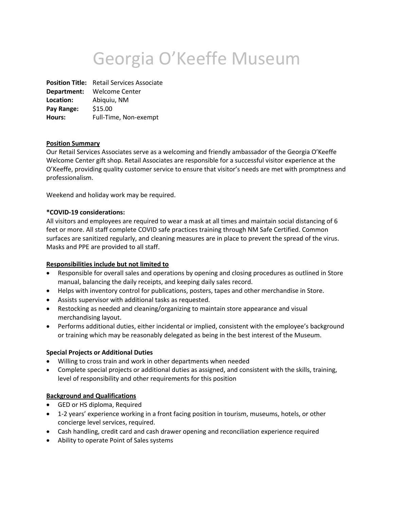# Georgia O'Keeffe Museum

**Position Title:** Retail Services Associate **Department:** Welcome Center **Location:** Abiquiu, NM **Pay Range:** \$15.00 **Hours:** Full-Time, Non-exempt

### **Position Summary**

Our Retail Services Associates serve as a welcoming and friendly ambassador of the Georgia O'Keeffe Welcome Center gift shop. Retail Associates are responsible for a successful visitor experience at the O'Keeffe, providing quality customer service to ensure that visitor's needs are met with promptness and professionalism.

Weekend and holiday work may be required.

#### **\*COVID-19 considerations:**

All visitors and employees are required to wear a mask at all times and maintain social distancing of 6 feet or more. All staff complete COVID safe practices training through NM Safe Certified. Common surfaces are sanitized regularly, and cleaning measures are in place to prevent the spread of the virus. Masks and PPE are provided to all staff.

### **Responsibilities include but not limited to**

- Responsible for overall sales and operations by opening and closing procedures as outlined in Store manual, balancing the daily receipts, and keeping daily sales record.
- Helps with inventory control for publications, posters, tapes and other merchandise in Store.
- Assists supervisor with additional tasks as requested.
- Restocking as needed and cleaning/organizing to maintain store appearance and visual merchandising layout.
- Performs additional duties, either incidental or implied, consistent with the employee's background or training which may be reasonably delegated as being in the best interest of the Museum.

#### **Special Projects or Additional Duties**

- Willing to cross train and work in other departments when needed
- Complete special projects or additional duties as assigned, and consistent with the skills, training, level of responsibility and other requirements for this position

### **Background and Qualifications**

- GED or HS diploma, Required
- 1-2 years' experience working in a front facing position in tourism, museums, hotels, or other concierge level services, required.
- Cash handling, credit card and cash drawer opening and reconciliation experience required
- Ability to operate Point of Sales systems